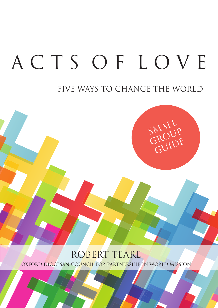# ACTS OF LOVE

## FIVE WAYS TO CHANGE THE WORLD



## ROBERT TEARE

OXFORD DIOCESAN COUNCIL FOR PARTNERSHIP IN WORLD MISSION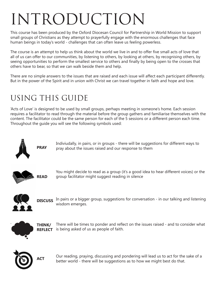## Introduction

This course has been produced by the Oxford Diocesan Council for Partnership in World Mission to support small groups of Christians as they attempt to prayerfully engage with the enormous challenges that face human beings in today's world - challenges that can often leave us feeling powerless.

The course is an attempt to help us think about the world we live in and to offer five small acts of love that all of us can offer to our communities, by listening to others, by looking at others, by recognising others, by seeing opportunities to perform the smallest service to others and finally by being open to the crosses that others have to bear, so that we can walk beside them and help.

There are no simple answers to the issues that are raised and each issue will affect each participant differently. But in the power of the Spirit and in union with Christ we can travel together in faith and hope and love.

## Using this guide

'Acts of Love' is designed to be used by small groups, perhaps meeting in someone's home. Each session requires a facilitator to read through the material before the group gathers and familiarise themselves with the content. The facilitator could be the same person for each of the 5 sessions or a different person each time. Throughout the guide you will see the following symbols used:



**PRAY**

Indiviudally, in pairs, or in groups - there will be suggestions for different ways to pray about the issues raised and our response to them



You might decide to read as a group (it's a good idea to hear different voices) or the group facilitator might suggest reading in silence



**DISCUSS** In pairs or a bigger group, suggestions for conversation - in our talking and listening wisdom emerges.



There will be times to ponder and reflect on the issues raised - and to consider what **REFLECT** is being asked of us as people of faith. `````````````````` **THINK/**



**ACT**

Our reading, praying, discussing and pondering will lead us to act for the sake of a better world - there will be suggestions as to how we might best do that.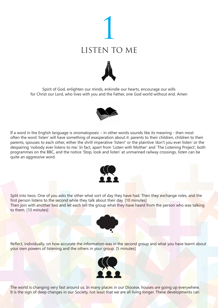





If a word in the English language is onomatopoeic – in other words sounds like its meaning - then most often the word 'listen' will have something of exasperation about it: parents to their children, children to their parents, spouses to each other, either the shrill imperative 'listen!' or the plaintive 'don't you ever listen' or the despairing 'nobody ever listens to me.' In fact, apart from 'Listen with Mother' and 'The Listening Project', both programmes on the BBC, and the notice 'Stop, look and listen' at unmanned railway crossings, listen can be quite an aggressive word.



Split into twos. One of you asks the other what sort of day they have had. Then they exchange roles, and the first person listens to the second while they talk about their day. [10 minutes] Then join with another two and let each tell the group what they have heard from the person who was talking to them. [10 minutes]



Reflect, individually, on how accurate the information was in the second group and what you have learnt about your own powers of listening and the others in your group. [5 minutes]



The world is changing very fast around us. In many places in our Diocese, houses are going up everywhere. It is the sign of deep changes in our Society, not least that we are all living longer. These developments can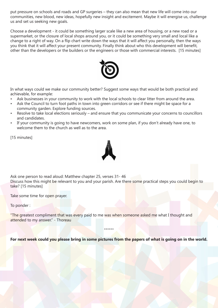put pressure on schools and roads and GP surgeries – they can also mean that new life will come into our communities, new blood, new ideas, hopefully new insight and excitement. Maybe it will energise us, challenge us and set us seeking new goals.

Choose a development - it could be something larger scale like a new area of housing, or a new road or a supermarket, or the closure of local shops around you, or it could be something very small and local like a change to a right of way. On a flip chart write down the ways that it will affect you personally, then the ways you think that it will affect your present community. Finally think about who this development will benefit, other than the developers or the builders or the engineers or those with commercial interests. [15 minutes]



In what ways could we make our community better? Suggest some ways that would be both practical and achievable, for example:

- Ask businesses in your community to work with the local schools to clear litter from around the area.
- Ask the Council to turn foot paths in town into green corridors or see if there might be space for a community garden. Explore funding sources.
- Resolve to take local elections seriously and ensure that you communicate your concerns to councillors and candidates.
- If your community is going to have newcomers, work on some plan, if you don't already have one, to welcome them to the church as well as to the area.

[15 minutes]



Ask one person to read aloud: Matthew chapter 25, verses 31- 46 Discuss how this might be relevant to you and your parish. Are there some practical steps you could begin to take? [15 minutes]

Take some time for open prayer.

To ponder :

"The greatest compliment that was every paid to me was when someone asked me what I thought and attended to my answer." - Thoreau

**For next week could you please bring in some pictures from the papers of what is going on in the world.**

\*\*\*\*\*\*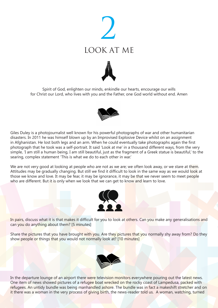





Giles Duley is a photojournalist well known for his powerful photographs of war and other humanitarian disasters. In 2011 he was himself blown up by an Improvised Explosive Device whilst on an assignment in Afghanistan. He lost both legs and an arm. When he could eventually take photographs again the first photograph that he took was a self-portrait. It said 'Look at me' in a thousand different ways, from the very simple, 'I am still a human being, I am still beautiful, just as the fragment of a Greek statue is beautiful,' to the searing, complex statement 'This is what we do to each other in war.'

We are not very good at looking at people who are not as we are; we often look away, or we stare at them. Attitudes may be gradually changing. But still we find it difficult to look in the same way as we would look at those we know and love. It may be fear, it may be ignorance, it may be that we never seem to meet people who are different. But it is only when we look that we can get to know and learn to love.



In pairs, discuss what it is that makes it difficult for you to look at others. Can you make any generalisations and can you do anything about them? [5 minutes]

Share the pictures that you have brought with you. Are they pictures that you normally shy away from? Do they show people or things that you would not normally look at? [10 minutes]



In the departure lounge of an airport there were television monitors everywhere pouring out the latest news. One item of news showed pictures of a refugee boat wrecked on the rocky coast of Lampedusa, packed with refugees. An untidy bundle was being manhandled ashore. The bundle was in fact a makeshift stretcher and on it there was a woman in the very process of giving birth, the news-reader told us. A woman, watching, turned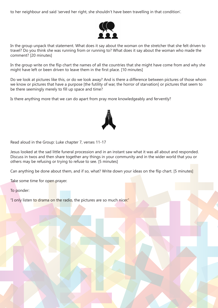to her neighbour and said 'served her right, she shouldn't have been travelling in that condition'.



In the group unpack that statement. What does it say about the woman on the stretcher that she felt driven to travel? Do you think she was running from or running to? What does it say about the woman who made the comment? [20 minutes]

In the group write on the flip chart the names of all the countries that she might have come from and why she might have left or been driven to leave them in the first place. [10 minutes]

Do we look at pictures like this, or do we look away? And is there a difference between pictures of those whom we know or pictures that have a purpose [the futility of war, the horror of starvation] or pictures that seem to be there seemingly merely to fill up space and time?

Is there anything more that we can do apart from pray more knowledgeably and fervently?



Read aloud in the Group: Luke chapter 7, verses 11-17

Jesus looked at the sad little funeral procession and in an instant saw what it was all about and responded. Discuss in twos and then share together any things in your community and in the wider world that you or others may be refusing or trying to refuse to see. [5 minutes]

Can anything be done about them, and if so, what? Write down your ideas on the flip chart. [5 minutes]

Take some time for open prayer.

To ponder:

"I only listen to drama on the radio, the pictures are so much nicer."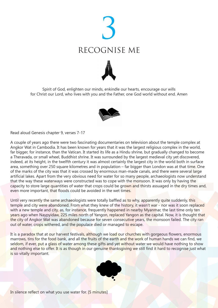





Read aloud Genesis chapter 9, verses 7-17

A couple of years ago there were two fascinating documentaries on television about the temple complex at Angkor Wat in Cambodia. It has been known for years that it was the largest religious complex in the world, far bigger, for instance, than the Vatican. It started its life as a Hindu shrine, but gradually changed to become a Theravada, or small wheel, Buddhist shrine. It was surrounded by the largest medieval city yet discovered, indeed, at its height, in the twelfth century it was almost certainly the largest city in the world both in surface area, something over 250 square kilometres and in population – far bigger than London was at that time. One of the marks of the city was that it was crossed by enormous man-made canals, and there were several large artificial lakes. Apart from the very obvious need for water for so many people, archaeologists now understand that the way these waterways were constructed was to cope with the monsoon. It was only by having the capacity to store large quantities of water that crops could be grown and thirsts assuaged in the dry times and, even more important, that floods could be avoided in the wet times.

Until very recently the same archaeologists were totally baffled as to why, apparently quite suddenly, this temple and city were abandoned. From what they knew of the history, it wasn't war - nor was it soon replaced with a new temple and city, as, for instance, frequently happened in nearby Myanmar, the last time only ten years ago when Naypyidaw, 225 miles north of Yangon, replaced Yangon as the capital. Now, it is thought that the city of Angkor Wat was abandoned because for seven consecutive years, the monsoon failed. The city ran out of water, crops withered, and the populace died or managed to escape.

It is a paradox that at our harvest festivals, although we load our churches with gorgeous flowers, enormous marrows, tins for the food bank, and all the fruits of the earth and the work of human hands we can find, we seldom, if ever, put a glass of water among these gifts and yet without water we would have nothing to show and nothing else to offer. It is as though in our genuine thanksgiving we still find it hard to recognise just what is so vitally important.



In silence reflect on what you use water for. [5 minutes]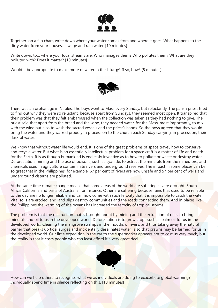

Together: on a flip chart, write down where your water comes from and where it goes. What happens to the dirty water from your houses, sewage and rain water. [10 minutes]

Write down, too, where your local streams are. Who manages them? Who pollutes them? What are they polluted with? Does it matter? [10 minutes]

Would it be appropriate to make more of water in the Liturgy? If so, how? [5 minutes]



There was an orphanage in Naples. The boys went to Mass every Sunday, but reluctantly. The parish priest tried to find out why they were so reluctant, because apart from Sundays, they seemed most open. It transpired that their problem was that they felt embarrassed when the collection was taken as they had nothing to give. The priest said that apart from the bread and the wine, they needed water, for the Mass, most importantly, to mix with the wine but also to wash the sacred vessels and the priest's hands. So the boys agreed that they would bring the water and they walked proudly in procession to the church each Sunday carrying, in procession, their flask of water.

We know that without water life would end. It is one of the great problems of space travel, how to conserve and recycle water. But what is an essentially intellectual problem for a space craft is a matter of life and death for the Earth. It is as though humankind is endlessly inventive as to how to pollute or waste or destroy water. Deforestation; mining and the use of poisons, such as cyanide, to extract the minerals from the mined ore; and chemicals used in agriculture contaminate rivers and underground reserves. The impact in some places can be so great that in the Philippines, for example, 67 per cent of rivers are now unsafe and 57 per cent of wells and underground cisterns are polluted.

At the same time climate change means that some areas of the world are suffering severe drought: South Africa, California and parts of Australia, for instance. Other are suffering because rains that used to be reliable to the day are no longer reliable and can now come with such ferocity that it is impossible to catch the water. Vital soils are eroded, and land slips destroy communities and the roads connecting them. And in places like the Philippines the warming of the oceans has increased the ferocity of tropical storms.

The problem is that the destruction that is brought about by mining and the extraction of oil is to bring minerals and oil to us in the developed world. Deforestation is to grow crops such as palm oil for us in the developed world. Clearing the mangrove swamps in the mouths of rivers, and thus taking away the natural barrier that breaks up tidal surges and incidentally desalinates water, is so that prawns may be farmed for us in the developed world. Our little expedition in the car to the supermarket appears not to cost us very much, but the reality is that it costs people who can least afford it a very great deal.



How can we help others to recognise what we as individuals are doing to exacerbate global warming? Individually spend time in silence reflecting on this. [10 minutes]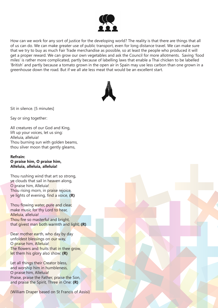

How can we work for any sort of justice for the developing world? The reality is that there are things that all of us can do. We can make greater use of public transport, even for long distance travel. We can make sure that we try to buy as much Fair Trade merchandise as possible, so at least the people who produced it will get a proper reward. We can grow our own vegetables and ask the Council for more allotments. Saving 'food miles' is rather more complicated, partly because of labelling laws that enable a Thai chicken to be labelled 'British' and partly because a tomato grown in the open air in Spain may use less carbon than one grown in a greenhouse down the road. But if we all ate less meat that would be an excellent start.



Sit in silence. [5 minutes]

Say or sing together:

All creatures of our God and King, lift up your voices, let us sing: Alleluia, alleluia! Thou burning sun with golden beams, thou silver moon that gently gleams,

#### **Refrain:**

**O praise him, O praise him, Alleluia, alleluia, alleluia!**

Thou rushing wind that art so strong, ye clouds that sail in heaven along, O praise him, Alleluia! Thou rising morn, in praise rejoice, ye lights of evening, find a voice, **(R)**

Thou flowing water, pure and clear, make music for thy Lord to hear, Alleluia, alleluia! Thou fire so masterful and bright, that givest man both warmth and light, **(R)**

Dear mother earth, who day by day unfoldest blessings on our way, O praise him, Alleluia! The flowers and fruits that in thee grow, let them his glory also show: **(R)**

Let all things their Creator bless, and worship him in humbleness, O praise him, Alleluia! Praise, praise the Father, praise the Son, and praise the Spirit, Three in One: **(R)**

(William Draper based on St Francis of Assisi)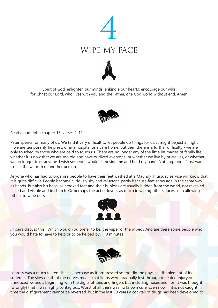





Read aloud: John chapter 13, verses 1-11

Peter speaks for many of us. We find it very difficult to let people do things for us. It might be just all right if we are temporarily helpless, or in a hospital or a care home, but then there is a further difficulty - we are only touched by those who are paid to touch us. There are no longer any of the little intimacies of family life, whether it is now that we are too old and have outlived everyone, or whether we live by ourselves, or whether we no longer trust anyone. I wish someone would sit beside me and hold my hand. Nothing more, I just want to feel the warmth of another person.

Anyone who has had to organise people to have their feet washed at a Maundy Thursday service will know that it is quite difficult. People become curiously shy and reluctant, partly because feet show age in the same way as hands. But also it's because crooked feet and their bunions are usually hidden from the world, not revealed naked and visible and in church. Or perhaps the act of love is as much in wiping others' faces as in allowing others to wipe ours.



In pairs discuss this. Which would you prefer to be, the wiper or the wiped? And are there some people who you would hate to have to help or to be helped by? [10 minutes]



Leprosy was a much feared disease, because as it progressed so too did the physical disablement of its sufferers. The slow death of the nerves meant that limbs were gradually lost through repeated injury or unnoticed wounds, beginning with the digits of toes and fingers but including noses and lips. It was thought (wrongly) that it was highly contagious. Worst of all there was no known cure. Even now, if it is not caught in time the disfigurement cannot be reversed, but in the last 30 years a cocktail of drugs has been developed to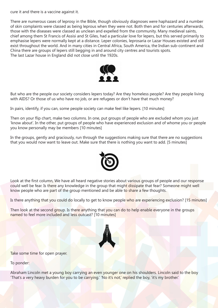cure it and there is a vaccine against it.

There are numerous cases of leprosy in the Bible, though obviously diagnoses were haphazard and a number of skin complaints were classed as being leprous when they were not. Both then and for centuries afterwards, those with the diseases were classed as unclean and expelled from the community. Many medieval saints, chief among them St Francis of Assisi and St Giles, had a particular love for lepers, but this served primarily to emphasise lepers were normally kept at a distance. Leper colonies, leprosaria or Lazar Houses existed and still exist throughout the world. And in many cities in Central Africa, South America, the Indian sub-continent and China there are groups of lepers still begging in and around city centres and tourists spots. The last Lazar house in England did not close until the 1920s.



But who are the people our society considers lepers today? Are they homeless people? Are they people living with AIDS? Or those of us who have no job, or are refugees or don't have that much money?

In pairs, identify, if you can, some people society can make feel like lepers. [10 minutes]

Then on your flip chart, make two columns. In one, put groups of people who are excluded whom you just 'know about'. In the other, put groups of people who have experienced exclusion and of whome you or people you know personally may be members [10 minutes]

In the groups, gently and graciously, run through the suggestions making sure that there are no suggestions that you would now want to leave out. Make sure that there is nothing you want to add. [5 minutes]



Look at the first column, We have all heard negative stories about various groups of people and our response could well be fear. Is there any knowledge in the group that might dissipate that fear? Someone might well know people who are part of the group mentioned and be able to share a few thoughts.

Is there anything that you could do locally to get to know people who are experiencing exclusion? [15 minutes]

Then look at the second group. Is there anything that you can do to help enable everyone in the groups named to feel more included and less outcast? [10 minutes]



Take some time for open prayer.

To ponder:

Abraham Lincoln met a young boy carrying an even younger one on his shoulders. Lincoln said to the boy 'That's a very heavy burden for you to be carrying.' 'No it's not,' replied the boy, 'it's my brother.'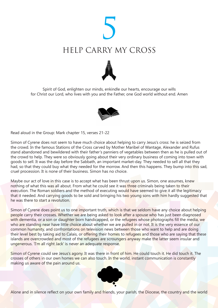





Read aloud in the Group: Mark chapter 15, verses 21-22

Simon of Cyrene does not seem to have much choice about helping to carry Jesus's cross: he is seized from the crowd. In the famous Stations of the Cross carved by Mother Maribel of Wantage, Alexander and Rufus stand abandoned and bewildered with their father's panniers of vegetables between then as he is pulled out of the crowd to help. They were so obviously going about their very ordinary business of coming into town with goods to sell. It was the day before the Sabbath, an important market-day. They needed to sell all that they had, so that they could buy what they needed for the morrow. And then this happens. They bump into this sad, cruel procession. It is none of their business. Simon has no choice.

Maybe our act of love in this case is to accept what has been thrust upon us. Simon, one assumes, knew nothing of what this was all about. From what he could see it was three criminals being taken to their execution. The Roman soldiers and the method of executing would have seemed to give it all the legitimacy that it needed. And carrying goods to be sold and bringing his two young sons with him hardly suggested that he was there to start a revolution.

Simon of Cyrene does point us to one important truth, which is that we seldom have any choice about helping people carry their crosses. Whether we are being asked to look after a spouse who has just been diagnosed with dementia, or a son or daughter born handicapped, or the refugees whose photographs fill the media, we who are standing near have little choice about whether we are pulled in or not. It is the very essence of our common humanity, and confrontations on television news between those who want to help and are doing their level best by taking aid to Calais, or offering their homes to refugees and those who are saying that these islands are overcrowded and most of the refugees are scroungers anyway make the latter seem insular and ungenerous. 'I'm all right Jack' is never an adequate response.

Simon of Cyrene could see Jesus's agony. It was there in front of him. He could touch it. He did touch it. The crosses of others in our own homes we can also touch. In the world, instant communication is constantly making us aware of the pain around us.



Alone and in silence reflect on your own family and friends, your parish, the Diocese, the country and the world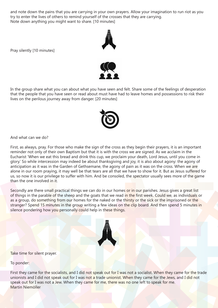and note down the pains that you are carrying in your own prayers. Allow your imagination to run riot as you try to enter the lives of others to remind yourself of the crosses that they are carrying. Note down anything you might want to share. [10 minutes]



Pray silently [10 minutes]



In the group share what you can about what you have seen and felt. Share some of the feelings of desperation that the people that you have seen or read about must have had to leave homes and possessions to risk their lives on the perilous journey away from danger. [20 minutes]



And what can we do?

First, as always, pray. For those who make the sign of the cross as they begin their prayers, it is an important reminder not only of their own Baptism but that it is with the cross we are signed. As we acclaim in the Eucharist 'When we eat this bread and drink this cup, we proclaim your death, Lord Jesus, until you come in glory.' So while intercession may indeed be about thanksgiving and joy, it is also about agony: the agony of anticipation as it was in the Garden of Gethsemane, the agony of pain as it was on the cross. When we are alone in our room praying, it may well be that tears are all that we have to show for it. But as Jesus suffered for us, so now it is our privilege to suffer with him. And be consoled, the spectator usually sees more of the game than the one involved in it.

Secondly are there small practical things we can do in our homes or in our parishes. Jesus gives a great list of things in the parable of the sheep and the goats that we read in the first week. Could we, as individuals or as a group, do something from our homes for the naked or the thirsty or the sick or the imprisoned or the stranger? Spend 15 minutes in the group writing a few ideas on the clip board. And then spend 5 minutes in silence pondering how you personally could help in these things.



Take time for silent prayer.

To ponder:

First they came for the socialists, and I did not speak out for I was not a socialist. When they came for the trade unionists and I did not speak out for I was not a trade unionist. When they came for the Jews, and I did not speak out for I was not a Jew. When they came for me, there was no one left to speak for me. Martin Niemöller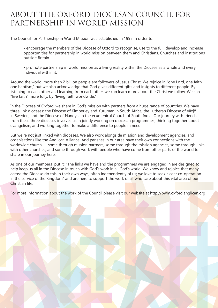### About the Oxford Diocesan Council for Partnership in World Mission

The Council for Partnership in World Mission was established in 1995 in order to:

• encourage the members of the Diocese of Oxford to recognise, use to the full, develop and increase opportunities for partnership in world mission between them and Christians, Churches and institutions outside Britain.

• promote partnership in world mission as a living reality within the Diocese as a whole and every individual within it.

Around the world, more than 2 billion people are followers of Jesus Christ. We rejoice in "one Lord, one faith, one baptism," but we also acknowledge that God gives different gifts and insights to different people. By listening to each other and learning from each other, we can learn more about the Christ we follow. We can "live faith" more fully, by "living faith worldwide."

In the Diocese of Oxford, we share in God's mission with partners from a huge range of countries. We have three link dioceses: the Diocese of Kimberley and Kuruman in South Africa; the Lutheran Diocese of Växjö in Sweden, and the Diocese of Nandyal in the ecumenical Church of South India. Our journey with friends from these three dioceses involves us in jointly working on diocesan programmes, thinking together about evangelism, and working together to make a difference to people in need.

But we're not just linked with dioceses. We also work alongside mission and development agencies, and organisations like the Anglican Alliance. And parishes in our area have their own connections with the worldwide church — some through mission partners, some through the mission agencies, some through links with other churches, and some through work with people who have come from other parts of the world to share in our journey here.

As one of our members put it: "The links we have and the programmes we are engaged in are designed to help keep us all in the Diocese in touch with God's work in all God's world. We know and rejoice that many across the Diocese do this in their own ways, often independently of us; we love to seek closer co-operation in the service of the Kingdom" and are here to support the work of all who care about this vital area of our Christian life.

For more information about the work of the Council please visit our website at http://pwm.oxford.anglican.org